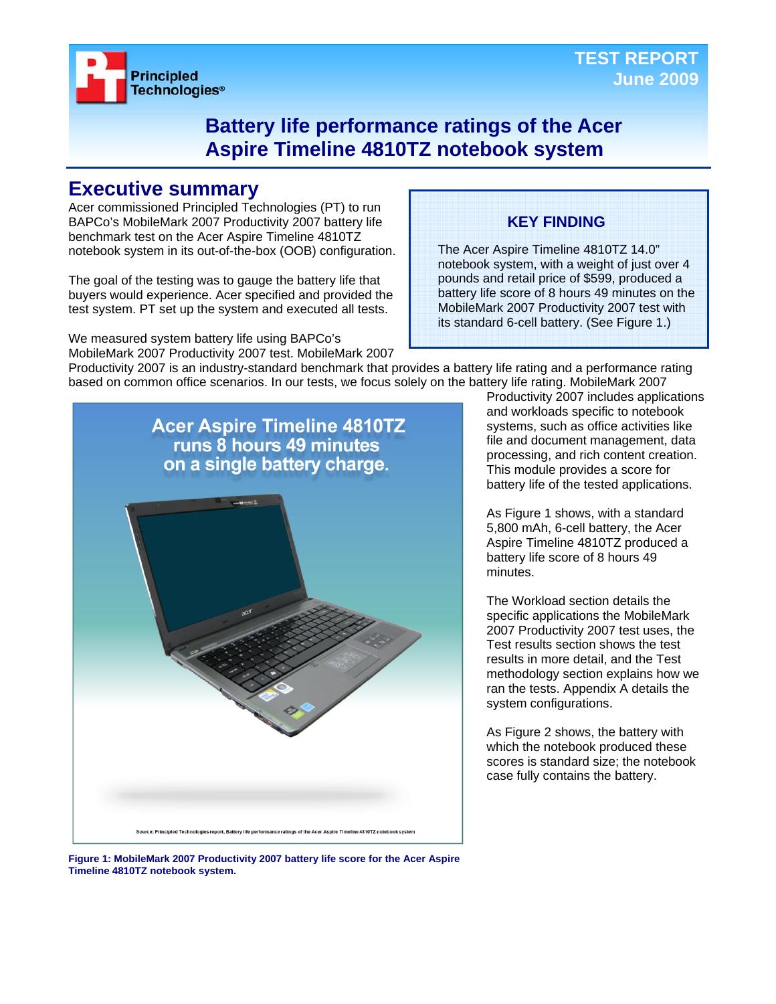

### **Battery life performance ratings of the Acer Aspire Timeline 4810TZ notebook system**

### **Executive summary**

Acer commissioned Principled Technologies (PT) to run BAPCo's MobileMark 2007 Productivity 2007 battery life benchmark test on the Acer Aspire Timeline 4810TZ notebook system in its out-of-the-box (OOB) configuration.

The goal of the testing was to gauge the battery life that buyers would experience. Acer specified and provided the test system. PT set up the system and executed all tests.

We measured system battery life using BAPCo's MobileMark 2007 Productivity 2007 test. MobileMark 2007

### **KEY FINDING**

The Acer Aspire Timeline 4810TZ 14.0" notebook system, with a weight of just over 4 pounds and retail price of \$599, produced a battery life score of 8 hours 49 minutes on the MobileMark 2007 Productivity 2007 test with its standard 6-cell battery. (See Figure 1.)

Productivity 2007 is an industry-standard benchmark that provides a battery life rating and a performance rating based on common office scenarios. In our tests, we focus solely on the battery life rating. MobileMark 2007



Productivity 2007 includes applications and workloads specific to notebook systems, such as office activities like file and document management, data processing, and rich content creation. This module provides a score for battery life of the tested applications.

As Figure 1 shows, with a standard 5,800 mAh, 6-cell battery, the Acer Aspire Timeline 4810TZ produced a battery life score of 8 hours 49 minutes.

The Workload section details the specific applications the MobileMark 2007 Productivity 2007 test uses, the Test results section shows the test results in more detail, and the Test methodology section explains how we ran the tests. Appendix A details the system configurations.

As Figure 2 shows, the battery with which the notebook produced these scores is standard size; the notebook case fully contains the battery.

**Figure 1: MobileMark 2007 Productivity 2007 battery life score for the Acer Aspire Timeline 4810TZ notebook system.**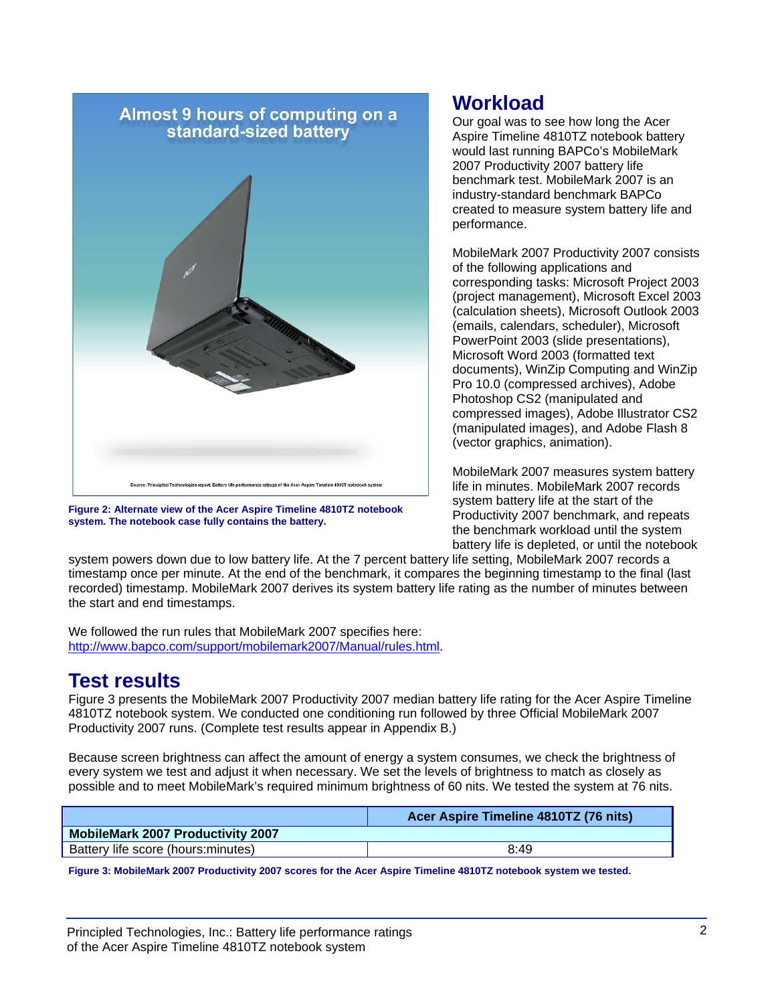

**Figure 2: Alternate view of the Acer Aspire Timeline 4810TZ notebook system. The notebook case fully contains the battery.** 

### **Workload**

Our goal was to see how long the Acer Aspire Timeline 4810TZ notebook battery would last running BAPCo's MobileMark 2007 Productivity 2007 battery life benchmark test. MobileMark 2007 is an industry-standard benchmark BAPCo created to measure system battery life and performance.

MobileMark 2007 Productivity 2007 consists of the following applications and corresponding tasks: Microsoft Project 2003 (project management), Microsoft Excel 2003 (calculation sheets), Microsoft Outlook 2003 (emails, calendars, scheduler), Microsoft PowerPoint 2003 (slide presentations), Microsoft Word 2003 (formatted text documents), WinZip Computing and WinZip Pro 10.0 (compressed archives), Adobe Photoshop CS2 (manipulated and compressed images), Adobe Illustrator CS2 (manipulated images), and Adobe Flash 8 (vector graphics, animation).

MobileMark 2007 measures system battery life in minutes. MobileMark 2007 records system battery life at the start of the Productivity 2007 benchmark, and repeats the benchmark workload until the system battery life is depleted, or until the notebook

system powers down due to low battery life. At the 7 percent battery life setting, MobileMark 2007 records a timestamp once per minute. At the end of the benchmark, it compares the beginning timestamp to the final (last recorded) timestamp. MobileMark 2007 derives its system battery life rating as the number of minutes between the start and end timestamps.

We followed the run rules that MobileMark 2007 specifies here: http://www.bapco.com/support/mobilemark2007/Manual/rules.html.

## **Test results**

Figure 3 presents the MobileMark 2007 Productivity 2007 median battery life rating for the Acer Aspire Timeline 4810TZ notebook system. We conducted one conditioning run followed by three Official MobileMark 2007 Productivity 2007 runs. (Complete test results appear in Appendix B.)

Because screen brightness can affect the amount of energy a system consumes, we check the brightness of every system we test and adjust it when necessary. We set the levels of brightness to match as closely as possible and to meet MobileMark's required minimum brightness of 60 nits. We tested the system at 76 nits.

| Acer Aspire Timeline 4810TZ (76 nits) |
|---------------------------------------|
|                                       |
| 8:49                                  |
|                                       |

**Figure 3: MobileMark 2007 Productivity 2007 scores for the Acer Aspire Timeline 4810TZ notebook system we tested.**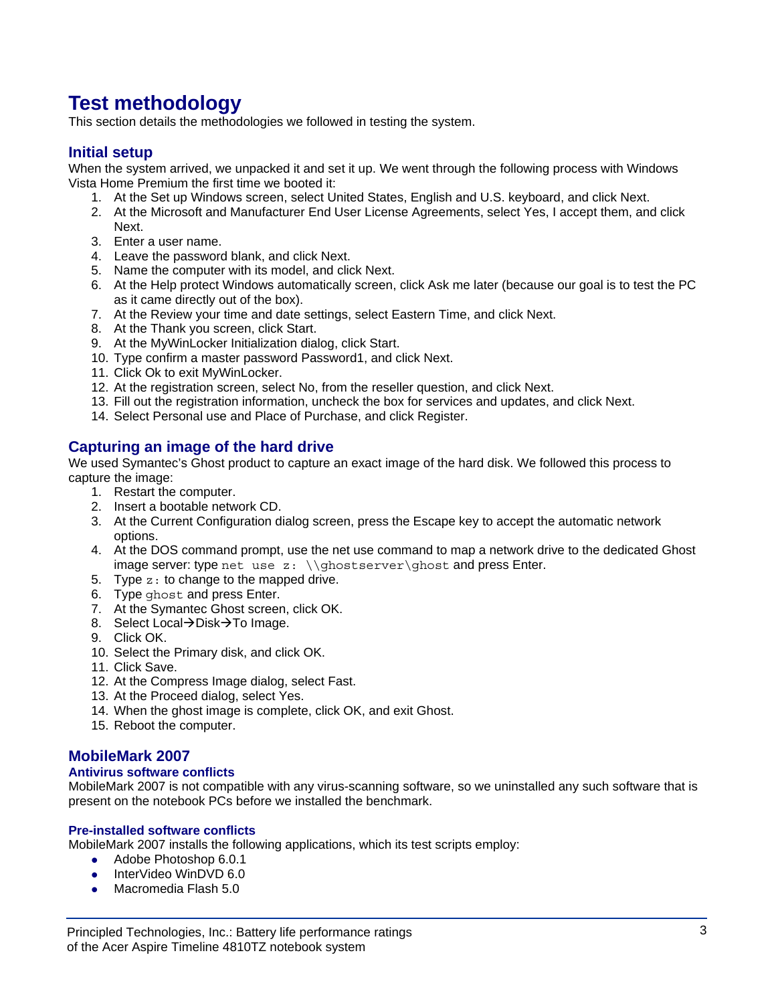## **Test methodology**

This section details the methodologies we followed in testing the system.

### **Initial setup**

When the system arrived, we unpacked it and set it up. We went through the following process with Windows Vista Home Premium the first time we booted it:

- 1. At the Set up Windows screen, select United States, English and U.S. keyboard, and click Next.
- 2. At the Microsoft and Manufacturer End User License Agreements, select Yes, I accept them, and click Next.
- 3. Enter a user name.
- 4. Leave the password blank, and click Next.
- 5. Name the computer with its model, and click Next.
- 6. At the Help protect Windows automatically screen, click Ask me later (because our goal is to test the PC as it came directly out of the box).
- 7. At the Review your time and date settings, select Eastern Time, and click Next.
- 8. At the Thank you screen, click Start.
- 9. At the MyWinLocker Initialization dialog, click Start.
- 10. Type confirm a master password Password1, and click Next.
- 11. Click Ok to exit MyWinLocker.
- 12. At the registration screen, select No, from the reseller question, and click Next.
- 13. Fill out the registration information, uncheck the box for services and updates, and click Next.
- 14. Select Personal use and Place of Purchase, and click Register.

### **Capturing an image of the hard drive**

We used Symantec's Ghost product to capture an exact image of the hard disk. We followed this process to capture the image:

- 1. Restart the computer.
- 2. Insert a bootable network CD.
- 3. At the Current Configuration dialog screen, press the Escape key to accept the automatic network options.
- 4. At the DOS command prompt, use the net use command to map a network drive to the dedicated Ghost image server: type net use  $z: \{\gh{\oslash}$  interserver \ghost and press Enter.
- 5. Type z: to change to the mapped drive.
- 6. Type ghost and press Enter.
- 7. At the Symantec Ghost screen, click OK.
- 8. Select Local→Disk→To Image.
- 9. Click OK.
- 10. Select the Primary disk, and click OK.
- 11. Click Save.
- 12. At the Compress Image dialog, select Fast.
- 13. At the Proceed dialog, select Yes.
- 14. When the ghost image is complete, click OK, and exit Ghost.
- 15. Reboot the computer.

#### **MobileMark 2007**

#### **Antivirus software conflicts**

MobileMark 2007 is not compatible with any virus-scanning software, so we uninstalled any such software that is present on the notebook PCs before we installed the benchmark.

#### **Pre-installed software conflicts**

MobileMark 2007 installs the following applications, which its test scripts employ:

- Adobe Photoshop 6.0.1
- InterVideo WinDVD 6.0
- $\bullet$  Macromedia Flash 5.0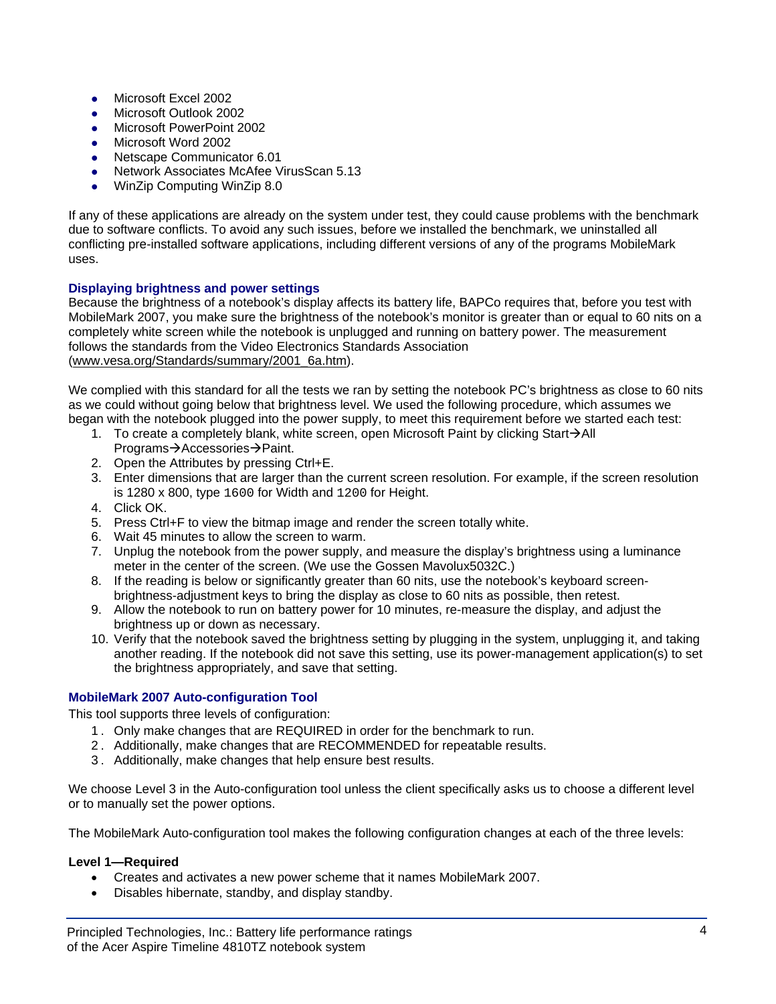- Microsoft Excel 2002
- Microsoft Outlook 2002
- Microsoft PowerPoint 2002
- Microsoft Word 2002
- Netscape Communicator 6.01
- Network Associates McAfee VirusScan 5.13
- WinZip Computing WinZip 8.0

If any of these applications are already on the system under test, they could cause problems with the benchmark due to software conflicts. To avoid any such issues, before we installed the benchmark, we uninstalled all conflicting pre-installed software applications, including different versions of any of the programs MobileMark uses.

#### **Displaying brightness and power settings**

Because the brightness of a notebook's display affects its battery life, BAPCo requires that, before you test with MobileMark 2007, you make sure the brightness of the notebook's monitor is greater than or equal to 60 nits on a completely white screen while the notebook is unplugged and running on battery power. The measurement follows the standards from the Video Electronics Standards Association (www.vesa.org/Standards/summary/2001\_6a.htm).

We complied with this standard for all the tests we ran by setting the notebook PC's brightness as close to 60 nits as we could without going below that brightness level. We used the following procedure, which assumes we began with the notebook plugged into the power supply, to meet this requirement before we started each test:

- 1. To create a completely blank, white screen, open Microsoft Paint by clicking Start $\rightarrow$ All Programs→Accessories→Paint.
- 2. Open the Attributes by pressing Ctrl+E.
- 3. Enter dimensions that are larger than the current screen resolution. For example, if the screen resolution is 1280 x 800, type 1600 for Width and 1200 for Height.
- 4. Click OK.
- 5. Press Ctrl+F to view the bitmap image and render the screen totally white.
- 6. Wait 45 minutes to allow the screen to warm.
- 7. Unplug the notebook from the power supply, and measure the display's brightness using a luminance meter in the center of the screen. (We use the Gossen Mavolux5032C.)
- 8. If the reading is below or significantly greater than 60 nits, use the notebook's keyboard screenbrightness-adjustment keys to bring the display as close to 60 nits as possible, then retest.
- 9. Allow the notebook to run on battery power for 10 minutes, re-measure the display, and adjust the brightness up or down as necessary.
- 10. Verify that the notebook saved the brightness setting by plugging in the system, unplugging it, and taking another reading. If the notebook did not save this setting, use its power-management application(s) to set the brightness appropriately, and save that setting.

#### **MobileMark 2007 Auto-configuration Tool**

This tool supports three levels of configuration:

- 1 . Only make changes that are REQUIRED in order for the benchmark to run.
- 2 . Additionally, make changes that are RECOMMENDED for repeatable results.
- 3 . Additionally, make changes that help ensure best results.

We choose Level 3 in the Auto-configuration tool unless the client specifically asks us to choose a different level or to manually set the power options.

The MobileMark Auto-configuration tool makes the following configuration changes at each of the three levels:

#### **Level 1—Required**

- Creates and activates a new power scheme that it names MobileMark 2007.
- Disables hibernate, standby, and display standby.

Principled Technologies, Inc.: Battery life performance ratings 4 of the Acer Aspire Timeline 4810TZ notebook system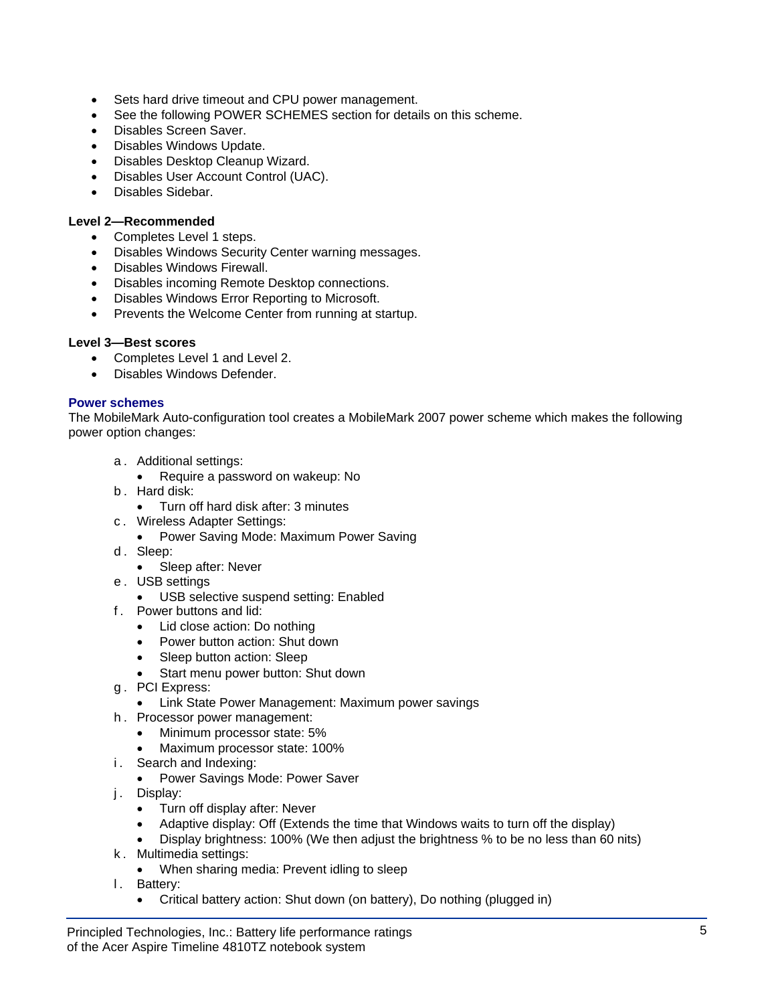- Sets hard drive timeout and CPU power management.
- See the following POWER SCHEMES section for details on this scheme.
- Disables Screen Saver.
- Disables Windows Update.
- Disables Desktop Cleanup Wizard.
- Disables User Account Control (UAC).
- Disables Sidebar.

#### **Level 2—Recommended**

- Completes Level 1 steps.
- Disables Windows Security Center warning messages.
- Disables Windows Firewall.
- Disables incoming Remote Desktop connections.
- Disables Windows Error Reporting to Microsoft.
- Prevents the Welcome Center from running at startup.

#### **Level 3—Best scores**

- Completes Level 1 and Level 2.
- Disables Windows Defender.

#### **Power schemes**

The MobileMark Auto-configuration tool creates a MobileMark 2007 power scheme which makes the following power option changes:

- a . Additional settings:
- Require a password on wakeup: No
- b . Hard disk:
	- Turn off hard disk after: 3 minutes
- c . Wireless Adapter Settings:
	- Power Saving Mode: Maximum Power Saving
- d. Sleep:
	- Sleep after: Never
- e . USB settings
	- USB selective suspend setting: Enabled
- f . Power buttons and lid:
	- Lid close action: Do nothing
	- Power button action: Shut down
	- Sleep button action: Sleep
	- Start menu power button: Shut down
- g . PCI Express:
	- Link State Power Management: Maximum power savings
- h . Processor power management:
	- Minimum processor state: 5%
	- Maximum processor state: 100%
- i. Search and Indexing:
	- Power Savings Mode: Power Saver
- j. Display:
	- Turn off display after: Never
	- Adaptive display: Off (Extends the time that Windows waits to turn off the display)
	- Display brightness: 100% (We then adjust the brightness % to be no less than 60 nits)
- k . Multimedia settings:
	- When sharing media: Prevent idling to sleep
- I. Battery:
	- Critical battery action: Shut down (on battery), Do nothing (plugged in)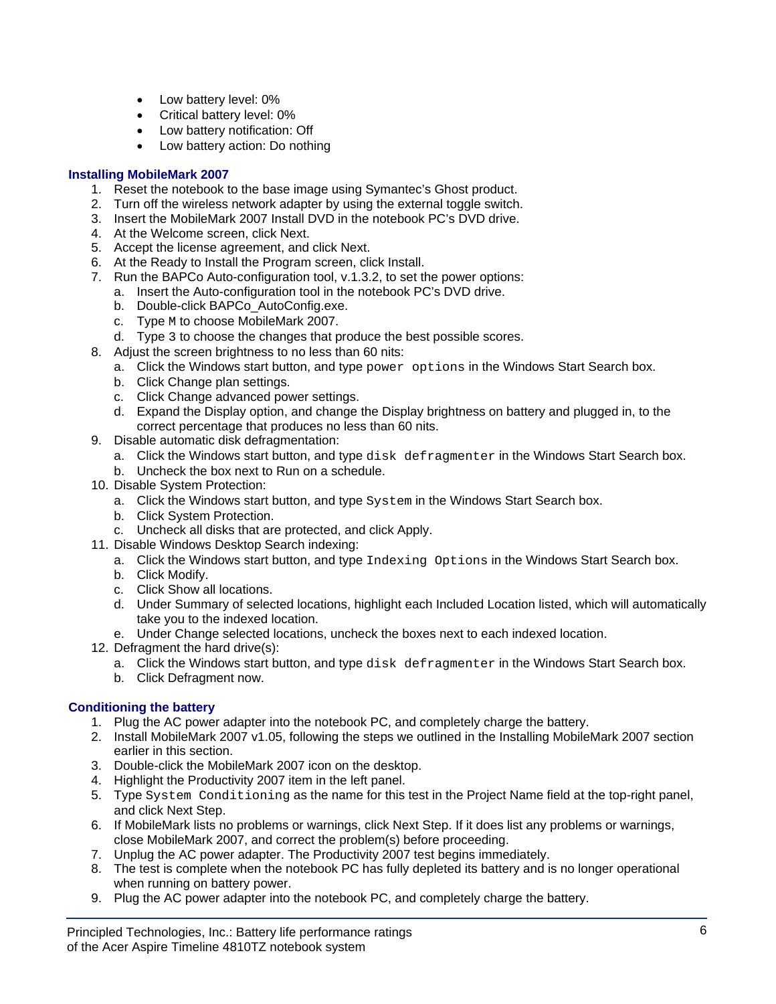- Low battery level: 0%
- Critical battery level: 0%
- Low battery notification: Off
- Low battery action: Do nothing

#### **Installing MobileMark 2007**

- 1. Reset the notebook to the base image using Symantec's Ghost product.
- 2. Turn off the wireless network adapter by using the external toggle switch.
- 3. Insert the MobileMark 2007 Install DVD in the notebook PC's DVD drive.
- 4. At the Welcome screen, click Next.
- 5. Accept the license agreement, and click Next.
- 6. At the Ready to Install the Program screen, click Install.
- 7. Run the BAPCo Auto-configuration tool, v.1.3.2, to set the power options:
	- a. Insert the Auto-configuration tool in the notebook PC's DVD drive.
	- b. Double-click BAPCo\_AutoConfig.exe.
	- c. Type M to choose MobileMark 2007.
	- d. Type 3 to choose the changes that produce the best possible scores.
- 8. Adjust the screen brightness to no less than 60 nits:
	- a. Click the Windows start button, and type power options in the Windows Start Search box.
		- b. Click Change plan settings.
		- c. Click Change advanced power settings.
		- d. Expand the Display option, and change the Display brightness on battery and plugged in, to the correct percentage that produces no less than 60 nits.
- 9. Disable automatic disk defragmentation:
	- a. Click the Windows start button, and type disk defragmenter in the Windows Start Search box.
	- b. Uncheck the box next to Run on a schedule.
- 10. Disable System Protection:
	- a. Click the Windows start button, and type System in the Windows Start Search box.
	- b. Click System Protection.
	- c. Uncheck all disks that are protected, and click Apply.
- 11. Disable Windows Desktop Search indexing:
	- a. Click the Windows start button, and type Indexing Options in the Windows Start Search box.
	- b. Click Modify.
	- c. Click Show all locations.
	- d. Under Summary of selected locations, highlight each Included Location listed, which will automatically take you to the indexed location.
	- e. Under Change selected locations, uncheck the boxes next to each indexed location.
- 12. Defragment the hard drive(s):
	- a. Click the Windows start button, and type disk defragmenter in the Windows Start Search box.
	- b. Click Defragment now.

#### **Conditioning the battery**

- 1. Plug the AC power adapter into the notebook PC, and completely charge the battery.
- 2. Install MobileMark 2007 v1.05, following the steps we outlined in the Installing MobileMark 2007 section earlier in this section.
- 3. Double-click the MobileMark 2007 icon on the desktop.
- 4. Highlight the Productivity 2007 item in the left panel.
- 5. Type System Conditioning as the name for this test in the Project Name field at the top-right panel, and click Next Step.
- 6. If MobileMark lists no problems or warnings, click Next Step. If it does list any problems or warnings, close MobileMark 2007, and correct the problem(s) before proceeding.
- 7. Unplug the AC power adapter. The Productivity 2007 test begins immediately.
- 8. The test is complete when the notebook PC has fully depleted its battery and is no longer operational when running on battery power.
- 9. Plug the AC power adapter into the notebook PC, and completely charge the battery.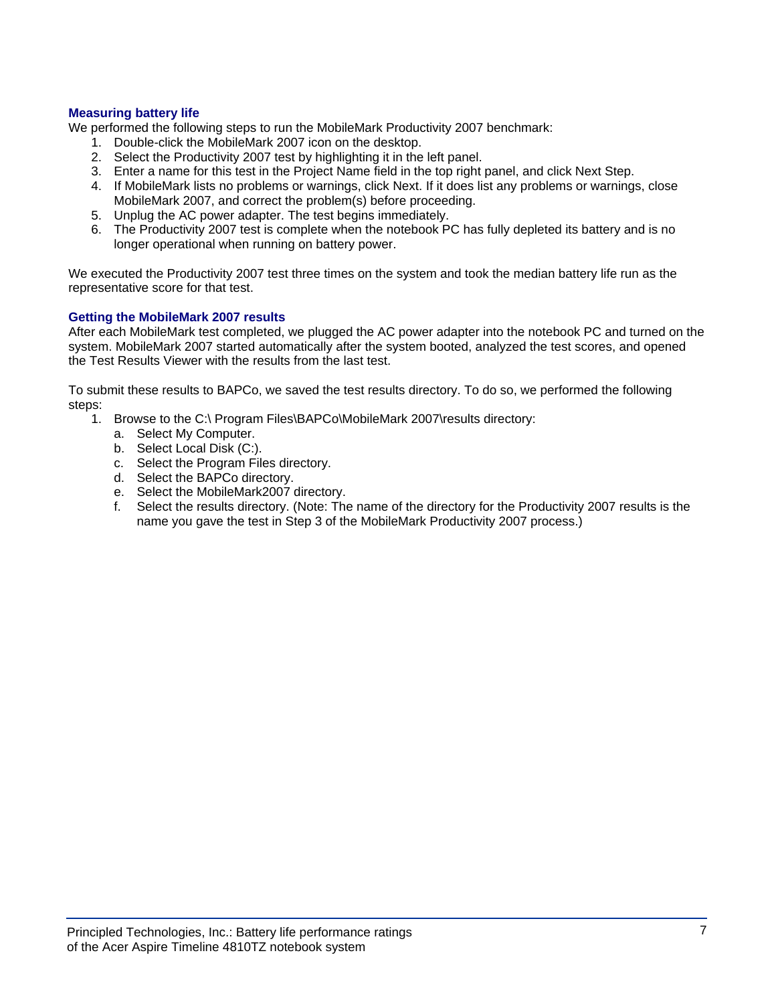#### **Measuring battery life**

We performed the following steps to run the MobileMark Productivity 2007 benchmark:

- 1. Double-click the MobileMark 2007 icon on the desktop.
- 2. Select the Productivity 2007 test by highlighting it in the left panel.
- 3. Enter a name for this test in the Project Name field in the top right panel, and click Next Step.
- 4. If MobileMark lists no problems or warnings, click Next. If it does list any problems or warnings, close MobileMark 2007, and correct the problem(s) before proceeding.
- 5. Unplug the AC power adapter. The test begins immediately.
- 6. The Productivity 2007 test is complete when the notebook PC has fully depleted its battery and is no longer operational when running on battery power.

We executed the Productivity 2007 test three times on the system and took the median battery life run as the representative score for that test.

#### **Getting the MobileMark 2007 results**

After each MobileMark test completed, we plugged the AC power adapter into the notebook PC and turned on the system. MobileMark 2007 started automatically after the system booted, analyzed the test scores, and opened the Test Results Viewer with the results from the last test.

To submit these results to BAPCo, we saved the test results directory. To do so, we performed the following steps:

- 1. Browse to the C:\ Program Files\BAPCo\MobileMark 2007\results directory:
	- a. Select My Computer.
	- b. Select Local Disk (C:).
	- c. Select the Program Files directory.
	- d. Select the BAPCo directory.
	- e. Select the MobileMark2007 directory.
	- f. Select the results directory. (Note: The name of the directory for the Productivity 2007 results is the name you gave the test in Step 3 of the MobileMark Productivity 2007 process.)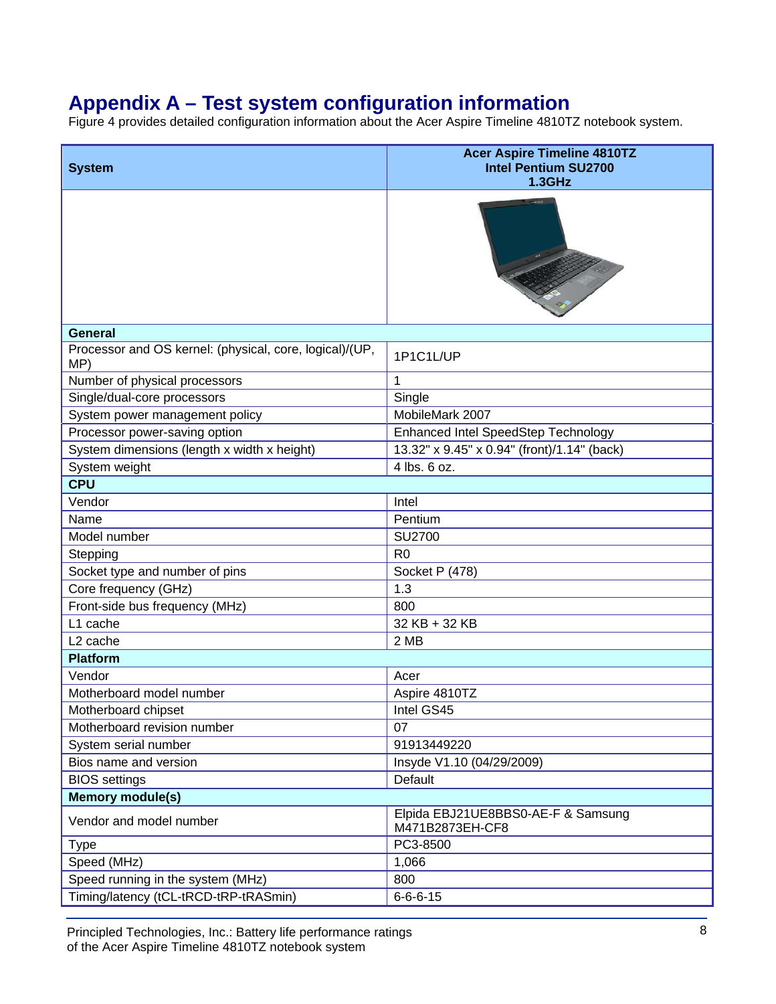# **Appendix A – Test system configuration information**

Figure 4 provides detailed configuration information about the Acer Aspire Timeline 4810TZ notebook system.

| <b>System</b>                                                  | <b>Acer Aspire Timeline 4810TZ</b><br><b>Intel Pentium SU2700</b><br><b>1.3GHz</b> |
|----------------------------------------------------------------|------------------------------------------------------------------------------------|
|                                                                |                                                                                    |
| <b>General</b>                                                 |                                                                                    |
| Processor and OS kernel: (physical, core, logical)/(UP,<br>MP) | 1P1C1L/UP                                                                          |
| Number of physical processors                                  | $\mathbf 1$                                                                        |
| Single/dual-core processors                                    | Single                                                                             |
| System power management policy                                 | MobileMark 2007                                                                    |
| Processor power-saving option                                  | Enhanced Intel SpeedStep Technology                                                |
| System dimensions (length x width x height)                    | 13.32" x 9.45" x 0.94" (front)/1.14" (back)                                        |
| System weight                                                  | 4 lbs. 6 oz.                                                                       |
| <b>CPU</b>                                                     |                                                                                    |
| Vendor                                                         | Intel                                                                              |
| Name                                                           | Pentium                                                                            |
| Model number                                                   | SU2700                                                                             |
| Stepping                                                       | R <sub>0</sub>                                                                     |
| Socket type and number of pins                                 | Socket P (478)                                                                     |
| Core frequency (GHz)                                           | 1.3                                                                                |
| Front-side bus frequency (MHz)                                 | 800                                                                                |
| L1 cache                                                       | 32 KB + 32 KB                                                                      |
| L <sub>2</sub> cache                                           | 2 MB                                                                               |
| <b>Platform</b>                                                |                                                                                    |
| Vendor                                                         | Acer                                                                               |
| Motherboard model number                                       | Aspire 4810TZ                                                                      |
| Motherboard chipset                                            | Intel GS45                                                                         |
| Motherboard revision number                                    | 07                                                                                 |
| System serial number                                           | 91913449220                                                                        |
| Bios name and version                                          | Insyde V1.10 (04/29/2009)                                                          |
| <b>BIOS</b> settings                                           | Default                                                                            |
| <b>Memory module(s)</b>                                        |                                                                                    |
| Vendor and model number                                        | Elpida EBJ21UE8BBS0-AE-F & Samsung<br>M471B2873EH-CF8                              |
| <b>Type</b>                                                    | PC3-8500                                                                           |
| Speed (MHz)                                                    | 1,066                                                                              |
| Speed running in the system (MHz)                              | 800                                                                                |
| Timing/latency (tCL-tRCD-tRP-tRASmin)                          | $6 - 6 - 6 - 15$                                                                   |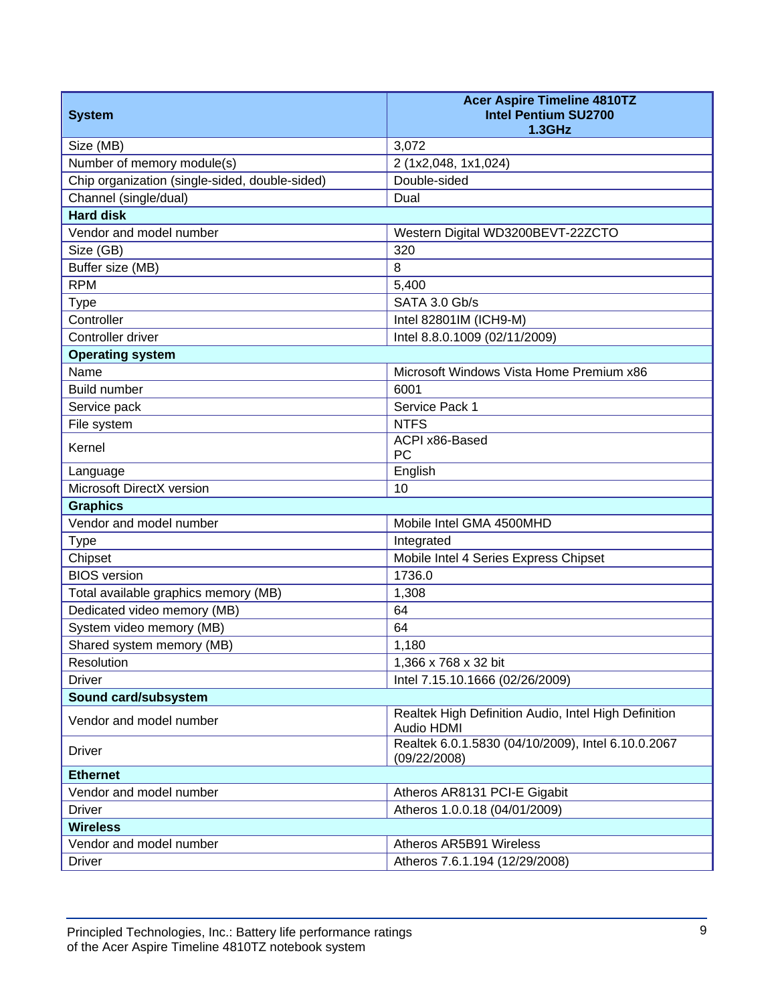| <b>System</b>                                  | <b>Acer Aspire Timeline 4810TZ</b><br><b>Intel Pentium SU2700</b><br><b>1.3GHz</b> |
|------------------------------------------------|------------------------------------------------------------------------------------|
| Size (MB)                                      | 3,072                                                                              |
| Number of memory module(s)                     | 2 (1x2,048, 1x1,024)                                                               |
| Chip organization (single-sided, double-sided) | Double-sided                                                                       |
| Channel (single/dual)                          | Dual                                                                               |
| <b>Hard disk</b>                               |                                                                                    |
| Vendor and model number                        | Western Digital WD3200BEVT-22ZCTO                                                  |
| Size (GB)                                      | 320                                                                                |
| Buffer size (MB)                               | 8                                                                                  |
| <b>RPM</b>                                     | 5,400                                                                              |
| <b>Type</b>                                    | SATA 3.0 Gb/s                                                                      |
| Controller                                     | Intel 82801IM (ICH9-M)                                                             |
| Controller driver                              | Intel 8.8.0.1009 (02/11/2009)                                                      |
| <b>Operating system</b>                        |                                                                                    |
| Name                                           | Microsoft Windows Vista Home Premium x86                                           |
| <b>Build number</b>                            | 6001                                                                               |
| Service pack                                   | Service Pack 1                                                                     |
| File system                                    | <b>NTFS</b>                                                                        |
| Kernel                                         | ACPI x86-Based<br>PC                                                               |
| Language                                       | English                                                                            |
| Microsoft DirectX version                      | 10                                                                                 |
| <b>Graphics</b>                                |                                                                                    |
| Vendor and model number                        | Mobile Intel GMA 4500MHD                                                           |
| <b>Type</b>                                    | Integrated                                                                         |
| Chipset                                        | Mobile Intel 4 Series Express Chipset                                              |
| <b>BIOS</b> version                            | 1736.0                                                                             |
| Total available graphics memory (MB)           | 1,308                                                                              |
| Dedicated video memory (MB)                    | 64                                                                                 |
| System video memory (MB)                       | 64                                                                                 |
| Shared system memory (MB)                      | 1,180                                                                              |
| Resolution                                     | 1,366 x 768 x 32 bit                                                               |
| <b>Driver</b>                                  | Intel 7.15.10.1666 (02/26/2009)                                                    |
| Sound card/subsystem                           |                                                                                    |
| Vendor and model number                        | Realtek High Definition Audio, Intel High Definition<br>Audio HDMI                 |
| <b>Driver</b>                                  | Realtek 6.0.1.5830 (04/10/2009), Intel 6.10.0.2067<br>(09/22/2008)                 |
| <b>Ethernet</b>                                |                                                                                    |
| Vendor and model number                        | Atheros AR8131 PCI-E Gigabit                                                       |
| <b>Driver</b>                                  | Atheros 1.0.0.18 (04/01/2009)                                                      |
| <b>Wireless</b>                                |                                                                                    |
| Vendor and model number                        | Atheros AR5B91 Wireless                                                            |
| <b>Driver</b>                                  | Atheros 7.6.1.194 (12/29/2008)                                                     |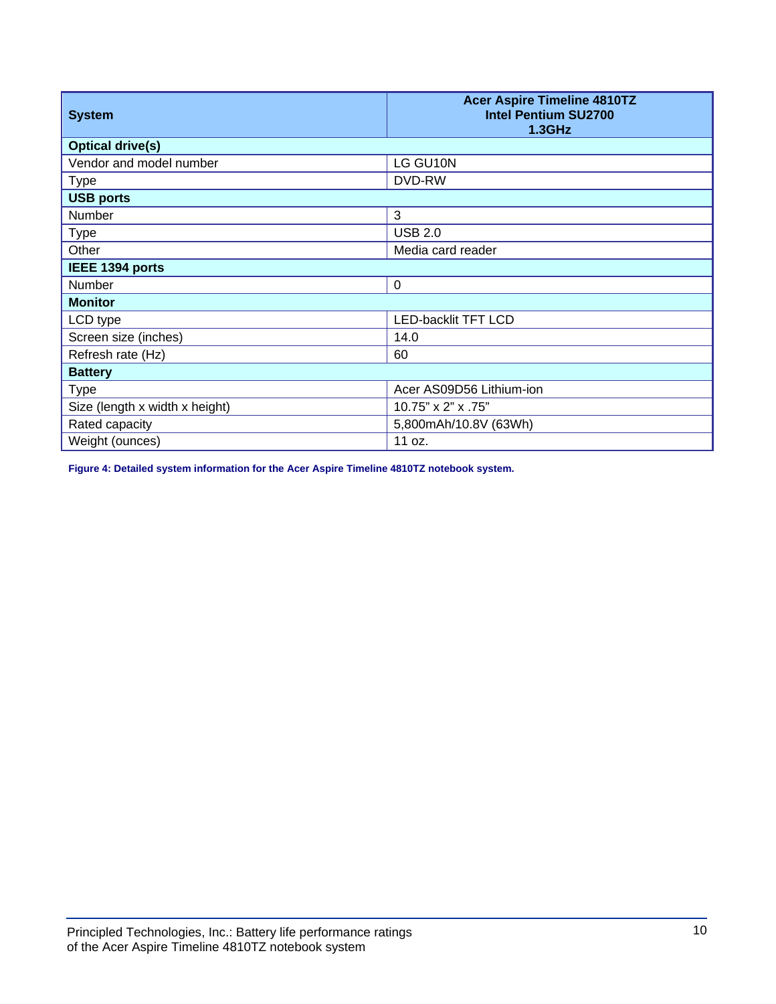| <b>System</b>                  | <b>Acer Aspire Timeline 4810TZ</b><br><b>Intel Pentium SU2700</b><br><b>1.3GHz</b> |
|--------------------------------|------------------------------------------------------------------------------------|
| <b>Optical drive(s)</b>        |                                                                                    |
| Vendor and model number        | LG GU10N                                                                           |
| <b>Type</b>                    | DVD-RW                                                                             |
| <b>USB ports</b>               |                                                                                    |
| <b>Number</b>                  | 3                                                                                  |
| <b>Type</b>                    | <b>USB 2.0</b>                                                                     |
| Other                          | Media card reader                                                                  |
| IEEE 1394 ports                |                                                                                    |
| Number                         | $\Omega$                                                                           |
| <b>Monitor</b>                 |                                                                                    |
| LCD type                       | <b>LED-backlit TFT LCD</b>                                                         |
| Screen size (inches)           | 14.0                                                                               |
| Refresh rate (Hz)              | 60                                                                                 |
| <b>Battery</b>                 |                                                                                    |
| <b>Type</b>                    | Acer AS09D56 Lithium-ion                                                           |
| Size (length x width x height) | 10.75" x 2" x .75"                                                                 |
| Rated capacity                 | 5,800mAh/10.8V (63Wh)                                                              |
| Weight (ounces)                | 11 oz.                                                                             |

**Figure 4: Detailed system information for the Acer Aspire Timeline 4810TZ notebook system.**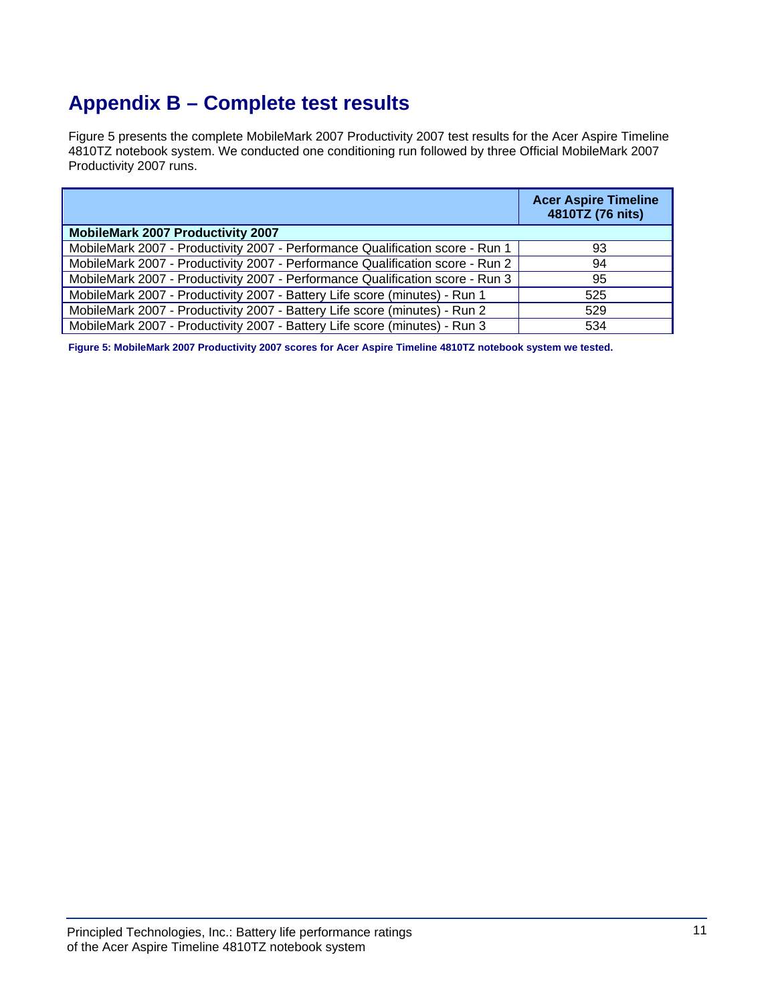# **Appendix B – Complete test results**

Figure 5 presents the complete MobileMark 2007 Productivity 2007 test results for the Acer Aspire Timeline 4810TZ notebook system. We conducted one conditioning run followed by three Official MobileMark 2007 Productivity 2007 runs.

|                                                                               | <b>Acer Aspire Timeline</b><br>4810TZ (76 nits) |
|-------------------------------------------------------------------------------|-------------------------------------------------|
| <b>MobileMark 2007 Productivity 2007</b>                                      |                                                 |
| MobileMark 2007 - Productivity 2007 - Performance Qualification score - Run 1 | 93                                              |
| MobileMark 2007 - Productivity 2007 - Performance Qualification score - Run 2 | 94                                              |
| MobileMark 2007 - Productivity 2007 - Performance Qualification score - Run 3 | 95                                              |
| MobileMark 2007 - Productivity 2007 - Battery Life score (minutes) - Run 1    | 525                                             |
| MobileMark 2007 - Productivity 2007 - Battery Life score (minutes) - Run 2    | 529                                             |
| MobileMark 2007 - Productivity 2007 - Battery Life score (minutes) - Run 3    | 534                                             |

**Figure 5: MobileMark 2007 Productivity 2007 scores for Acer Aspire Timeline 4810TZ notebook system we tested.**